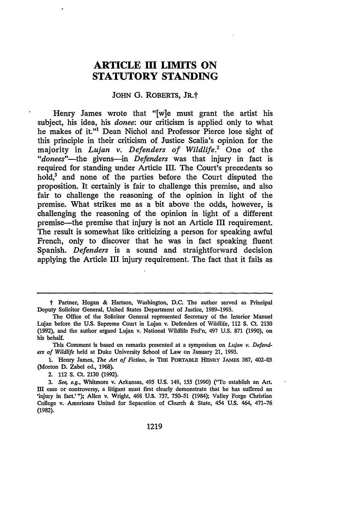## **ARTICLE III LIMITS ON STATUTORY STANDING**

## **JOHN G. ROBERTS, JR.t**

Henry James wrote that "[w]e must grant the artist his subject, his idea, his *donee:* our criticism is applied only to what he makes of it."<sup>1</sup> Dean Nichol and Professor Pierce lose sight of this principle in their criticism of Justice Scalia's opinion for the majority in *Lujan v. Defenders of Wildlife.'* One of the *"donees"-the* givens-in *Defenders* was that injury in fact is required for standing under Article III. The Court's precedents so hold,<sup>3</sup> and none of the parties before the Court disputed the proposition. It certainly is fair to challenge this premise, and also fair to challenge the reasoning of the opinion in light of the premise. What strikes me as a bit above the odds, however, is challenging the reasoning of the opinion in light of a different premise-the premise that injury is not an Article III requirement. The result is somewhat like criticizing a person for speaking awful French, only to discover that he was in fact speaking fluent Spanish. *Defenders* is a sound and straightforward decision applying the Article III injury requirement. The fact that it fails as

t Partner, Hogan & Hartson, Washington, **D.C.** The author served as Principal Deputy Solicitor General, United States Department of Justice, 1989-1993.

The Office of the Solicitor General represented Secretary of the Interior Manuel Lujan before the **U.S.** Supreme Court in Lujan v. Defenders of Wildlife, 112 S. Ct. 2130 (1992), and the author argued Lujan v. National Wildlife Fed'n, 497 U.S. 871 (1990), on his behalf.

This Comment is based on remarks presented at a symposium on *Lujan v. Defenders of Wildlife* held at Duke University School of Law on January 21, 1993.

<sup>1.</sup> Henry James, *The Art of Fiction, in* **THE PORTABLE HENRY** JAMES **387,** 402-03 (Morton **D.** Zabel ed., **1968).**

<sup>2. 112</sup> **S.** Ct. 2130 (1992).

*<sup>3.</sup> See, e.g.,* Whitmore v. Arkansas, 495 **U.S.** 149, 155 (1990) ("To establish an Art. **III** case or controversy, a litigant must first clearly demonstrate that he has suffered an 'injury in fact.' "); Allen v. Wright, 468 U.S. 737, 750-51 (1984); Valley Forge Christian College v. Americans United for Separation of Church & State, 454 U.S. 464, 471-76 (1982).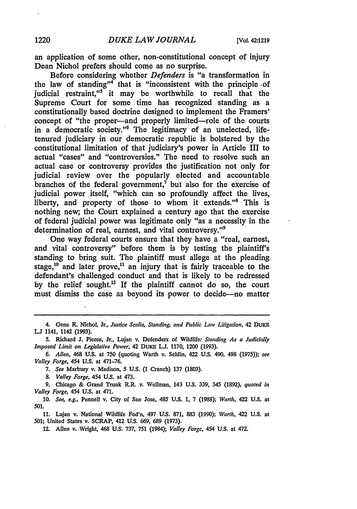an application of some other, non-constitutional concept of injury Dean Nichol prefers should come as no surprise.

Before considering whether *Defenders* is "a transformation in the law of standing"4 that is "inconsistent with the principle **.of** judicial restraint,"<sup>5</sup> it may be worthwhile to recall that the Supreme Court for some time has recognized standing as a constitutionally based doctrine designed to implement the Framers' concept of "the proper-and properly limited-role of the courts in a democratic society."6 The legitimacy of an unelected, lifetenured judiciary in our democratic republic is bolstered **by** the constitutional limitation of that judiciary's power in Article III to actual "cases" and "controversies." The need to resolve such an actual case or controversy provides the justification not only for judicial review over the popularly elected and accountable branches of the federal government,<sup>7</sup> but also for the exercise of judicial power itself, "which can so profoundly affect the lives, liberty, and property of those to whom it extends."<sup>8</sup> This is nothing new; the Court explained a century ago that the exercise of federal judicial power was legitimate only "as a necessity in the determination of real, earnest, and vital controversy."<sup>9</sup>

One way federal courts ensure that they have a "real, earnest, and vital controversy" before them is by testing the plaintiff's standing to bring suit. The plaintiff must allege at the pleading stage,<sup>10</sup> and later prove,<sup>11</sup> an injury that is fairly traceable to the defendant's challenged conduct and that is likely to be redressed **by** the relief sought.12 If the plaintiff cannot do so, the court must dismiss the case as beyond its power to decide-no matter

*6. Allen,* 468 **U.S.** at **750** (quoting Warth v. Seldin, 422 **U.S.** 490, 498 **(1975));** *see Valley Forge,* 454 **U.S.** at **471-76.**

**7.** *See* Marbury v. Madison, 5 **U.S. (1** Cranch) **137 (1803).**

*8. Valley Forge,* 454 **U.S.** at 473.

**9.** Chicago **&** Grand Trunk R.R. v. Wellman, 143 **U.S. 339,** 345 **(1892),** *quoted in Valley Forge,* 454 **U.S.** at 471.

**10.** *Se, e.g.,* Pennell v. City of San Jose, 485 **U.S. 1, 7 (1988);** *Warth,* 422 **U.S.** at **501.**

11. Lujan v. National Wildlife Fed'n, 497 U.S. 871, **883** (1990); *Warth,* 422 U.S. at **501;** United States v. SCRAP, 412 U.S. 669, 689 **(1973).**

12. Allen v. Wright, 468 U.S. **737, 751** (1984); *Valley Forge,* 454 U.S. at 472.

<sup>4.</sup> Gene R. Nichol, Jr., *Justice Scalia, Standing, and Public Law Litigation,* 42 **DUKE LJ** 1141, 1142 **(1993).**

**<sup>5.</sup>** Richard **J.** Pierce, Jr., Lujan v. Defenders of Wildlife: *Standing As a Judicially Imposed Limit on Legislative Power,* 42 DUKE **LJ. 1170,** 1200 **(1993).**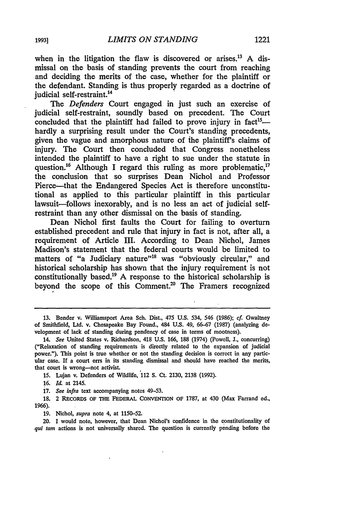when in the litigation the flaw is discovered or arises.<sup>13</sup> A dismissal on the basis of standing prevents the court from reaching and deciding the merits of the case, whether for the plaintiff or the defendant. Standing is thus properly regarded as a doctrine of judicial self-restraint.<sup>14</sup>

*The Defenders* Court engaged in just such an exercise of judicial self-restraint, soundly based on precedent. The Court concluded that the plaintiff had failed to prove injury in  $fact<sup>15</sup>$ . hardly a surprising result under the Court's standing precedents, given the vague and amorphous nature of ihe plaintiff's claims of injury. The Court then concluded that Congress nonetheless intended the plaintiff to have a right to sue under the statute in question.<sup>16</sup> Although I regard this ruling as more problematic.<sup>17</sup> the conclusion that so surprises Dean Nichol and Professor Pierce-that the Endangered Species Act is therefore unconstitutional as applied to this particular plaintiff in this particular lawsuit-follows inexorably, and is no less an act of judicial selfrestraint than any other dismissal on the basis of standing.

Dean Nichol first faults the Court for failing to overturn established precedent and rule that injury in fact is not, after all, a requirement of Article III. According to Dean Nichol, James Madison's statement that the federal courts would be limited to matters of "a Judiciary nature"<sup>18</sup> was "obviously circular," and historical scholarship has shown that the injury requirement is not constitutionally based.19 **A** response to the historical scholarship is beyond the scope of this  $Comment.<sup>20</sup>$  The Framers recognized

15. Lujan v. Defenders of Wildlife, 112 **S.** Ct. 2130, 2138 (1992).

16. *IL* at 2145.

17. *See infra* text accompanying notes 49-53.

**18.** 2 **RECORDS OF THE FEDERAL CONVENTION OF** 1787, at 430 (Max Farrand ed., 1966).

19. Nichol, *supra* note 4, at 1150-52.

20. I would note, however, that Dean Nichol's confidence in the constitutionality of *qui tam* actions is not universally shared. The question is currently pending before the

<sup>13.</sup> Bender v. Williamsport Area Sch. Dist., 475 **U.S.** 534, 546 (1986); **cf.** Gwaltney of Smithfield, Ltd. v. Chesapeake Bay Found., 484 **U.S.** 49, 66-67 **(1987)** (analyzing development of lack of standing during pendency **of** case in terms of mootness).

<sup>14.</sup> *See* United States v. Richardson, 418 **U.S.** 166, 188 (1974) (Powell, J., concurring) ("Relaxation of standing requirements is directly related to the expansion of judicial power."). This point is true whether or not the standing decision is correct in any particular case. If a court errs in its standing dismissal and should have reached the merits, that court is wrong-not activist.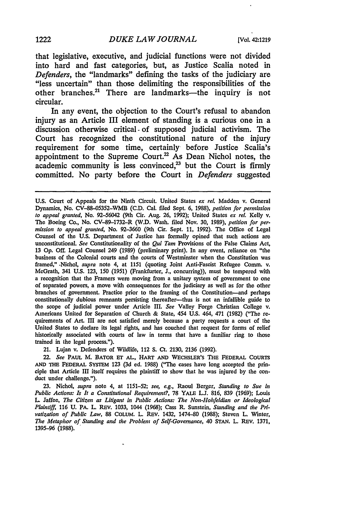that legislative, executive, and judicial functions were not divided into hard and fast categories, but, as Justice Scalia noted in *Defenders,* the "landmarks" defining the tasks of the judiciary are "less uncertain" than those delimiting the responsibilities of the other branches.<sup>21</sup> There are landmarks—the inquiry is not circular.

In any event, the objection to the Court's refusal to abandon injury as an Article III element of standing is a curious one in a discussion otherwise critical **-** of supposed judicial activism. The Court has recognized the constitutional nature of the injury requirement for some time, certainly before Justice Scalia's appointment to the Supreme Court.<sup>22</sup> As Dean Nichol notes, the academic community is less convinced, $^{23}$  but the Court is firmly committed. No party before the Court in *Defenders* suggested

21. Lujan v. Defenders of Wildlife, 112 **S.** Ct. 2130, 2136 (1992).

22. *See* PAUL M. BATOR **ET AL, HART AND WECHSLER'S THE FEDERAL COURTS AND THE FEDERAL SYSTEM 123 (3d** ed. **1988)** ("The cases have long accepted the principle that Article **III** itself requires the plaintiff to show that he was injured **by** the conduct under challenge.").

**23.** Nichol, *supra* note 4, at 1151-52; *see, e.g.,* Raoul Berger, *Standing to Sue in Public Actions: Is It a Constitutional Requirement?,* **78** YALE **L.J. 816, 839 (1969);** Louis **L.** Jaffee, *The Citizen as Litigant in Public Actions: The Non-Hohfeldian or Ideological Plaintiff,* **116 U.** PA. L. REV. **1033,** 1044 **(1968);** Cass R. Sunstein, *Standing and the Privatization of Public Law,* 88 **COLUM.** L. **REV.** 1432, 1474-80 (1988); Steven L. Winter, *The Metaphor of Standing and the Problem of Self-Governance,* 40 **STAN.** L. REV. 1371, 1395-96 **(1988).**

**U.S.** Court of Appeals for the Ninth Circuit. United States *ex rel.* Madden v. General Dynamics, No. CV-88-05352-WMB (C.D. Cal. filed Sept. 6, 1988), *petition for permission to appeal granted,* No. 92-56042 (9th Cir. Aug. 26, 1992); United States *ex* rel. Kelly v. The Boeing Co., No. CV-89-1732-R (W.D. Wash. filed Nov. 30, 1989), *petition for permission to appeal granted,* No. 92-3660 (9th Cir. Sept. **11,** 1992). The Office of Legal Counsel of the **U.S.** Department of Justice has formally opined that such actions are unconstitutional. *See* Constitutionality of the *Qui Tam* Provisions of the False Claims Act, **13** Op. **Off.** Legal Counsel 249 (1989) (preliminary print). In any event, reliance on "the business of the Colonial courts and the courts of Westminster when the Constitution was framed," .Nichol, *supra* note 4, at 1151 (quoting Joint Anti-Fascist Refugee Comm. v. McGrath, 341 U.S. 123, 150 (1951) (Frankfurter, **J.,** concurring)), must be tempered with a recognition that the Framers were moving from a unitary system of government to one of separated powers, a move with consequences for the judiciary as well as for the other branches of government. Practice prior to the framing of the Constitution-and perhaps constitutionally dubious remnants persisting thereafter-thus is not an infallible guide to the scope of judicial power under Article III. *See* Valley Forge Christian College v. Americans United for Separation of Church & State, 454 **U.S.** 464, 471 (1982) ("The requirements of Art. III are not satisfied merely because a party requests a court of the United States to declare its legal rights, and has couched that request for forms of relief historically associated with courts of law in terms that have a familiar ring to those trained in the legal process.").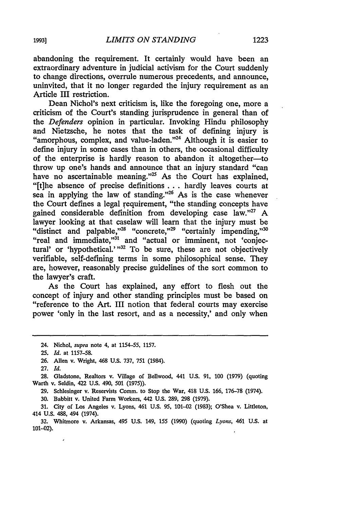abandoning the requirement. It certainly would have been an extraordinary adventure in judicial activism for the Court suddenly to change directions, overrule numerous precedents, and announce, uninvited, that it no longer regarded the injury requirement as an Article III restriction.

Dean Nichol's next criticism is, like the foregoing one, more a criticism of the Court's standing jurisprudence in general than of the *Defenders* opinion in particular. Invoking Hindu philosophy and Nietzsche, he notes that the task of defining injury is "amorphous, complex, and value-laden."<sup>24</sup> Although it is easier to define injury in some cases than in others, the occasional difficulty of the enterprise is hardly reason to abandon it altogether-to throw up one's hands and announce that an injury standard "can have no ascertainable meaning."<sup>25</sup> As the Court has explained, "[t]he absence of precise definitions **...** hardly leaves courts at sea in applying the law of standing."<sup>26</sup> As is the case whenever the Court defines a legal requirement, "the standing concepts have gained considerable definition from developing case law."27 A lawyer looking at that caselaw will learn that the injury must be "distinct and palpable,"<sup>28</sup> "concrete,"<sup>29</sup> "certainly impending,"<sup>30</sup> "real and immediate, $"^{31}$  and "actual or imminent, not 'conjectural' or 'hypothetical.' $1.32$  To be sure, these are not objectively verifiable, self-defining terms in some philosophical sense. They are, however, reasonably precise guidelines of the sort common to the lawyer's craft.

As the Court has explained, any effort to flesh out the concept of injury and other standing principles must be based on "reference to the Art. III notion that federal courts may exercise power 'only in the last resort, and as a necessity,' and only when

29. Schlesinger v. Reservists Comm. to Stop the War, 418 U.S. 166, 176-78 (1974).

30. Babbitt v. United Farm Workers, 442 U.S. 289, 298 (1979).

31. City of Los Angeles v. Lyons, 461 U.S. 95, 101-02 (1983); O'Shea v. Littleton, 414 U.S. 488, 494 (1974).

32. Whitmore v. Arkansas, 495 U.S. 149, 155 (1990) (quoting *Lyons,* 461 U.S. at 101-02).

<sup>24.</sup> Nichol, *supra* note 4, at 1154-55, 1157.

<sup>25.</sup> *Id.* at 1157-58.

<sup>26.</sup> Allen v. Wright, 468 U.S. 737, 751 (1984).

<sup>27.</sup> *Id.*

<sup>28.</sup> Gladstone, Realtors v. Village of Bellwood, 441 U.S. 91, 100 (1979) (quoting Warth v. Seldin, 422 U.S. 490, 501 (1975)).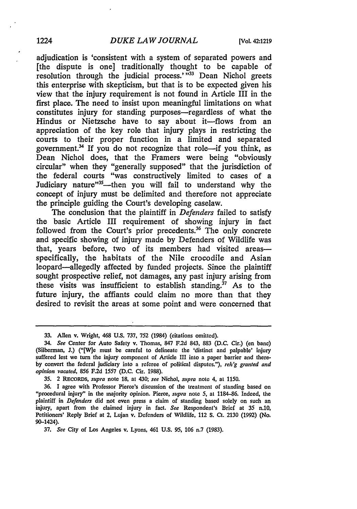adjudication is 'consistent with a system of separated powers and [the dispute is one] traditionally thought to be capable of resolution through the judicial process.' <sup>33</sup> Dean Nichol greets this enterprise with skepticism, but that is to be expected given his view that the injury requirement is not found in Article III in the first place. The need to insist upon meaningful limitations on what constitutes injury for standing purposes—regardless of what the Hindus or Nietzsche have to say about it-flows from an appreciation of the key role that injury plays in restricting the courts to their proper function in a limited and separated government.<sup>34</sup> If you do not recognize that role—if you think, as Dean Nichol does, that the Framers were being "obviously circular" when they "generally supposed" that the jurisdiction of the federal courts "was constructively limited to cases of a Judiciary nature"<sup>35</sup>—then you will fail to understand why the concept of injury must be delimited and therefore not appreciate the principle guiding the Court's developing caselaw.

The conclusion that the plaintiff in *Defenders* failed to satisfy the basic Article III requirement of showing injury in fact followed from the Court's prior precedents.<sup>36</sup> The only concrete and specific showing of injury made by Defenders of Wildlife was that, years before, two of its members had visited areasspecifically, the habitats of the Nile crocodile and Asian leopard-allegedly affected by funded projects. Since the plaintiff sought prospective relief, not damages, any past injury arising from these visits was insufficient to establish standing.<sup>37</sup> As to the future injury, the affiants could claim no more than that they desired to revisit the areas at some point and were concerned that

**<sup>33.</sup>** Allen v. Wright, 468 **U.S. 737, 752** (1984) (citations omitted).

*<sup>34.</sup> See* Center for Auto Safety v. Thomas, 847 F.2d 843, 883 **(D.C.** Cir.) (en bane) (Silberman, **J.)** ("[W]e must be careful to delineate the 'distinct and palpable' injury suffered lest we turn the injury component of Article III into a paper barrier and there**by** convert the federal judiciary into a referee of political disputes."), *reh'g granted and opinion vacated,* **856** F.2d 1557 (D.C. Cir. 1988).

**<sup>35.</sup>** 2 RECORDS, *supra* note 18, at 430; *see* Nichol, *supra* note 4, at 1150.

**<sup>36.</sup>** I agree with Professor Pierce's discussion of the treatment of standing based on "procedural injury" in the majority opinion. Pierce, *supra* note **5,** at 1184-86. Indeed, the plaintiff in *Defenders* did not even press a claim of standing based solely on such an injury, apart from the claimed injury in fact. *See* Respondent's Brief at 35 n.10, Petitioners' Reply Brief at 2, Lujan v. Defenders of Wildlife, 112 **S.** Ct. 2130 (1992) (No. 90-1424).

<sup>37.</sup> *See* City of Los Angeles v. Lyons, 461 **U.S. 95, 106** n.7 (1983).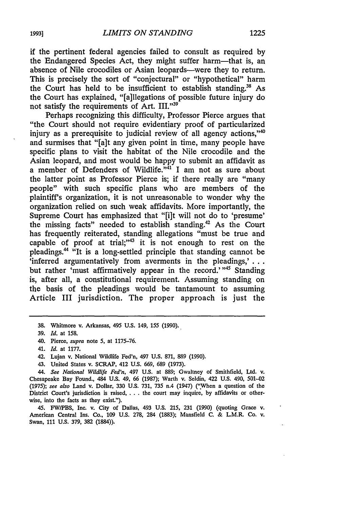if the pertinent federal agencies failed to consult as required by the Endangered Species Act, they might suffer harm-that is, an absence of Nile crocodiles or Asian leopards-were they to return. This is precisely the sort of "conjectural" or "hypothetical" harm the Court has held to be insufficient to establish standing.<sup>38</sup> As the Court has explained, "[a]llegations of possible future injury do not satisfy the requirements of Art. III."39

Perhaps recognizing this difficulty, Professor Pierce argues that "the Court should not require evidentiary proof of particularized injury as a prerequisite to judicial review of all agency actions, $v^{\prime\prime}$ and surmises that "[a]t any given point in time, many people have specific plans to visit the habitat of the Nile crocodile and the Asian leopard, and most would be happy to submit an affidavit as a member of Defenders of Wildlife."<sup>41</sup> I am not as sure about the latter point as Professor Pierce is; if there really are "many people" with such specific plans who are members of the plaintiff's organization, it is not unreasonable to wonder why the organization relied on such weak affidavits. More importantly, the Supreme Court has emphasized that "[i]t will not do to 'presume' the missing facts" needed to establish standing.42 As the Court has frequently reiterated, standing allegations "must be true and capable of proof at trial;"43 it is not enough to rest on the pleadings." "It is a long-settled principle that standing cannot be 'inferred argumentatively from averments in the pleadings,' ... but rather 'must affirmatively appear in the record.' "<sup>45</sup> Standing is, after all, a constitutional requirement. Assuming standing on the basis of the pleadings would be tantamount to assuming Article III jurisdiction. The proper approach is just the

38. Whitmore v. Arkansas, 495 U.S. 149, 155 (1990).

- 40. Pierce, *supra* note 5, at 1175-76.
- 41. *Id.* at 1177.
- 42. Lujan v. National Wildlife Fed'n, 497 U.S. 871, 889 (1990).
- 43. United States v. SCRAP, 412 U.S. 669, 689 (1973).

44. *See National Wildlife Fed'n,* 497 U.S. at 889; Gwaltney of Smithfield, Ltd. v. Chesapeake Bay Found., 484 U.S. 49, 66 (1987); Warth v. Seldin, 422 U.S. 490, 501-02 (1975); *see also* Land v. Dollar, 330 U.S. 731, 735 n.4 (1947) ("When a question of the District Court's jurisdiction is raised, . . . the court may inquire, by affidavits or otherwise, into the facts as they exist.").

45. FW/PBS, Inc. v. City of Dallas, 493 U.S. 215, 231 (1990) (quoting Grace v. American Central Ins. Co., 109 U.S. 278, 284 (1883); Mansfield **C.** & L.M.R. Co. v. Swan, 111 U.S. 379, 382 (1884)).

<sup>39.</sup> *Id.* at 158.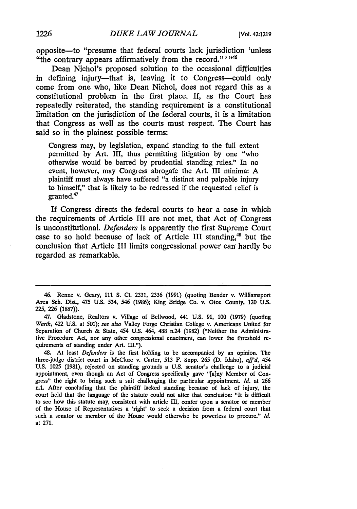opposite-to "presume that federal courts lack jurisdiction 'unless "the contrary appears affirmatively from the record."' "46

Dean Nichol's proposed solution to the occasional difficulties in defining injury-that is, leaving it to Congress-could only come from one who, like Dean Nichol, does not regard this as a constitutional problem in the first place. If, as the Court has repeatedly reiterated, the standing requirement is a constitutional limitation on the jurisdiction of the federal courts, it is a limitation that Congress as well as the courts must respect. The Court has said so in the plainest possible terms:

Congress may, **by** legislation, expand standing to the full extent permitted **by** Art. III, thus permitting litigation **by** one "who otherwise would be barred **by** prudential standing rules." In no event, however, may Congress abrogafe the Art. III minima: **A** plaintiff must always have suffered "a distinct and palpable injury to himself," that is likely to be redressed if the requested relief is granted.47

**If** Congress directs the federal courts to hear a case in which the requirements of Article III are not met, that Act of Congress is unconstitutional. *Defenders* is apparently the first Supreme Court case to so hold because of lack of Article III standing,<sup>48</sup> but the conclusion that Article III limits congressional power can hardly be regarded as remarkable.

<sup>46.</sup> Renne v. Geary, 111 **S.** Ct. 2331, 2336 (1991) (quoting Bender v. Williamsport Area Sch. Dist., 475 U.S. 534, 546 (1986); King Bridge Co. v. Otoe County, 120 U.S. 225, **226 (1887)).**

<sup>47.</sup> Gladstone, Realtors v. Village of Bellwood, 441 U.S. 91, 100 (1979) (quoting *Warth,* 422 U.S. at *501); see also* Valley Forge Christian College v. Americans United for Separation of Church **&** State, 454 U.S. 464, 488 n.24 (1982) ("Neither the Administrative Procedure Act, nor any other congressional enactment, can lower the threshold requirements of standing under Art. IIl.").

<sup>48.</sup> At least *Defenders* is the first holding to **be** accompanied **by** an opinion. The three-judge district court in McClure v. Carter, **513** F. Supp. **265 (D.** Idaho), *affd,* 454 **U.S. 1025 (1981),** rejected on standing grounds a **U.S.** senator's challenge to a judicial appointment, even though an Act of Congress specifically gave "[a]ny Member of Congress" the right to bring such a suit challenging the particular appointment. *Id.* at **266** n.1. After concluding that the plaintiff lacked standing because of lack of injury, the court held that the language of the statute could not alter that conclusion: "It is difficult to see how this statute may, consistent with article **11,** confer upon a senator or member of the House of Representatives a 'right' to seek a decision from a federal court that such a senator or member of the House would otherwise **be** powerless to procure." *Id.* at **271.**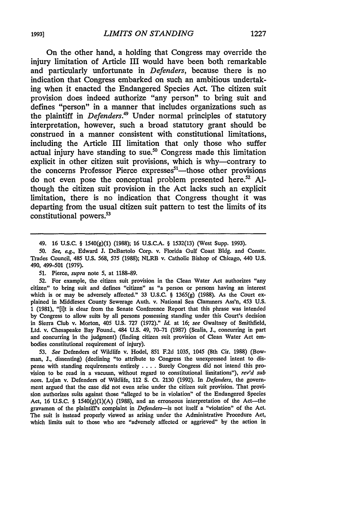On the other hand, a holding that Congress may override the injury limitation of Article III would have been both remarkable and particularly unfortunate in *Defenders,* because there is no indication that Congress embarked on such an ambitious undertaking when it enacted the Endangered Species Act. The citizen suit provision does indeed authorize "any person" to bring suit and defines "person" in a manner that includes organizations such as the plaintiff in *Defenders.49* Under normal principles of statutory interpretation, however, such a broad statutory grant should be construed in a manner consistent with constitutional limitations, including the Article III limitation that only those who suffer actual injury have standing to sue.<sup>50</sup> Congress made this limitation explicit in other citizen suit provisions, which is why-contrary to the concerns Professor Pierce expresses<sup>51</sup>—those other provisions do not even pose the conceptual problem presented **here.52 Al**though the citizen suit provision in the Act lacks such an explicit limitation, there is no indication that Congress thought it was departing from the usual citizen suit pattern to test the limits of its constitutional powers.<sup>53</sup>

51. Pierce, *supra* note 5, at 1188-89.

52. For example, the citizen suit provision in the Clean Water Act authorizes "any citizen" to bring suit and defines "citizen" as "a person or persons having an interest which is or may be adversely affected." 33 U.S.C. § 1365(g) (1988). As the Court explained in Middlesex County Sewerage Auth. v. National Sea Clammers Ass'n, 453 U.S. 1 (1981), "[i]t is clear from the Senate Conference Report that this phrase was intended by Congress to allow suits by all persons possessing standing under this Court's decision in Sierra Club v. Morton, 405 U.S. 727 (1972)." *Id.* at 16; *see* Gwaltney of Smithfield, Ltd. v. Chesapeake Bay Found., 484 U.S. 49, 70-71 (1987) (Scalia, J., concurring in part and concurring in the judgment) (finding citizen suit provision of Clean Water Act embodies constitutional requirement of injury).

*53. See* Defenders of Wildlife v. Hodel, 851 F.2d 1035, 1045 (8th Cir. 1988) (Bowman, J., dissenting) (declining "to attribute to Congress the unexpressed intent to dispense with standing requirements entirely .... Surely Congress did not intend this provision to be read in a vacuum, without regard to constitutional limitations"), *rev'd sub nom.* Lujan v. Defenders of Wildlife, 112 **S.** Ct. 2130 (1992). In *Defenders,* the government argued that the case did not even arise under the citizen suit provision. That provision authorizes suits against those "alleged to be in violation" of the Endangered Species Act, 16 U.S.C. § 1540(g)(1)(A) (1988), and an erroneous interpretation of the Act-the gravamen of the plaintiff's complaint in *Defenders-is* not itself a "violation" of the Act. The suit is instead properly viewed as arising under the Administrative Procedure Act, which limits suit to those who are "adversely affected or aggrieved" by the action in

<sup>49.</sup> **16 U.S.C.** § 1540(g)(1) (1988); 16 **U.S.C.A.** § 1532(13) (West Supp. 1993).

*<sup>50.</sup> See, e.g.,* Edward J. DeBartolo Corp. v. Florida Gulf Coast Bldg. and Constr. Trades Council, 485 U.S. 568, 575 (1988); NLRB v. Catholic Bishop of Chicago, 440 U.S. 490, 499-501 (1979).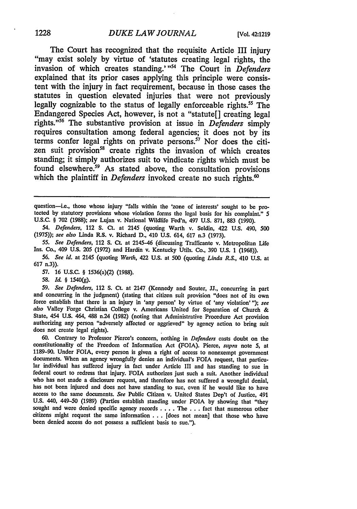The Court has recognized that the requisite Article III injury "may exist solely **by** virtue of 'statutes creating legal rights, the invasion of which creates standing.'<sup>"54</sup> The Court in *Defenders* explained that its prior cases applying this principle were consistent with the injury in fact requirement, because in those cases the statutes in question elevated injuries that were not previously legally cognizable to the status of legally enforceable rights.<sup>55</sup> The Endangered Species Act, however, is not a "statute[] creating legal rights."56 The substantive provision at issue in *Defenders* simply requires consultation among federal agencies; it does not **by** its terms confer legal rights on private persons.<sup>57</sup> Nor does the citizen suit provision<sup>58</sup> create rights the invasion of which creates standing; it simply authorizes suit to vindicate rights which must be found elsewhere.<sup>59</sup> As stated above, the consultation provisions which the plaintiff in *Defenders* invoked create no such rights.<sup>60</sup>

*54. Defenders,* 112 S. Ct. at 2145 (quoting Warth v. Seldin, 422 U.S. 490, 500 (1975)); *see also* Linda **R.S.** v. Richard D., 410 U.S. 614, 617 n.3 (1973).

*55. See Defenders,* 112 S. Ct. at 2145-46 (discussing Trafficante v. Metropolitan Life Ins. Co., 409 U.S. 205 (1972) and Hardin v. Kentucky Utils. Co., 390 U.S. 1 (1968)).

*56. See id.* at 2145 (quoting *Warth,* 422 U.S. at 500 (quoting *Linda R.S.,* 410 U.S. at 617 n.3)).

57. 16 U.S.C. § 1536(a)(2) (1988).

**58.** Id. § 1540(g).

*59. See Defenders,* 112 **S.** Ct. at 2147 (Kennedy and Souter, JJ., concurring in part and concurring in the judgment) (stating that citizen suit provision "does not of its own force establish that there is an injury in 'any person' by virtue of 'any violation'"); see also Valley Forge Christian College v. State, 454 **U.S.** 464, 488 n.24 (1982) (noting that Administrative Procedure Act provision authorizing any person "adversely affected or aggrieved" by agency action to bring suit does not create legal rights).

60. Contrary to Professor Pierce's concern, nothing in *Defenders* casts doubt on the constitutionality of the Freedom of Information Act (FOIA). Pierce, *supra* note 5, at 1189-90. Under FOIA, every person is given a right of access to nonexempt government documents. When an agency wrongfully denies an individual's FOIA request, that particular individual has suffered injury in fact under Article III and has standing to sue in federal court to redress that injury. FOIA authorizes just such a suit. Another individual who has not made a disclosure request, and therefore has not suffered a wrongful denial, has not been injured and does not have standing to sue, even if he would like to have access to the same documents. *See* Public Citizen v. United States Dep't of Justice, 491 **U.S.** 440, 449-50 (1989) (Parties establish standing under FOIA by showing that "they sought and were denied specific agency records . . . The . . . fact that numerous other citizens might request the same information ... [does not mean] that those who have been denied access do not possess a sufficient basis to sue.").

question-i.e., those whose injury "falls within the 'zone of interests' sought to be protected by statutory provisions whose violation forms the legal basis for his complaint." 5 U.S.C. § 702 (1988); *see* Lujan v. National Wildlife Fed'n, 497 U.S. 871, **883** (1990).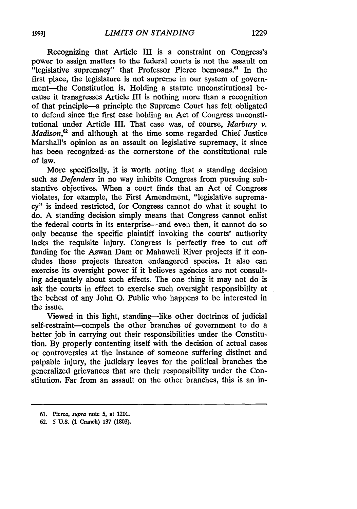Recognizing that Article III is a constraint on Congress's power to assign matters to the federal courts is not the assault on "legislative supremacy" that Professor Pierce bemoans.<sup>61</sup> In the first place, the legislature is not supreme in our system of government—the Constitution is. Holding a statute unconstitutional because it transgresses Article III is nothing more than a recognition of that principle-a principle the Supreme Court has felt obligated to defend since the first case holding an Act of Congress unconstitutional under Article III. That case was, of course, *Marbury v. Madison,2* and although at the time some regarded Chief Justice Marshall's opinion as an assault on legislative supremacy, it since has been recognized as the cornerstone of the constitutional rule of law.

More specifically, it is worth noting that a standing decision such as *Defenders* in no way inhibits Congress from pursuing substantive objectives. When a court finds that an Act of Congress violates, for example, the First Amendment, "legislative supremacy" is indeed restricted, for Congress cannot do what it sought to do. A standing decision simply means that Congress cannot enlist the federal courts in its enterprise-and even then, it cannot do so only because the specific plaintiff invoking the courts' authority lacks the requisite injury. Congress is "perfectly free to cut off funding for the Aswan Dam or Mahaweli River projects if it concludes those projects threaten endangered species. It also can exercise its oversight power if it believes agencies are not consulting adequately about such effects. The one thing it may not do is ask the courts in effect to exercise such oversight responsibility at the behest of any John Q. Public who happens to be interested in the issue.

Viewed in this light, standing-like other doctrines of judicial self-restraint--compels the other branches of government to do a better job in carrying out their responsibilities under the Constitution. By properly contenting itself with the decision of actual cases or controversies at the instance of someone suffering distinct and palpable injury, the judiciary leaves for the political branches the generalized grievances that are their responsibility under the Constitution. Far from an assault on the other branches, this is an in-

**<sup>61.</sup>** Pierce, *supra* note **5,** at 1201.

**<sup>62.</sup> 5 U.S. (1** Cranch) **137 (1803).**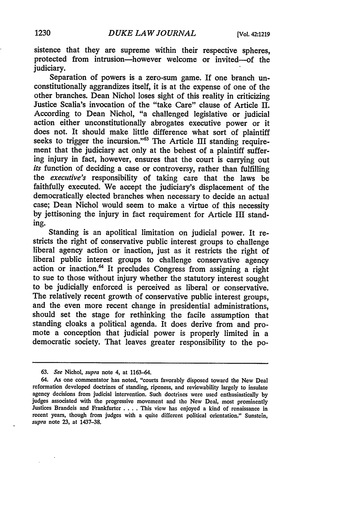sistence that they are supreme within their respective spheres, protected from intrusion-however welcome or invited-of the judiciary.

Separation of powers is a zero-sum game. If one branch unconstitutionally aggrandizes itself, it is at the expense of one of the other branches. Dean Nichol loses sight of this reality in criticizing Justice Scalia's invocation of the "take Care" clause of Article II. According to Dean Nichol, "a challenged legislative or judicial action either unconstitutionally abrogates executive power or it does not. It should make little difference what sort of plaintiff seeks to trigger the incursion."<sup>63</sup> The Article III standing requirement that the judiciary act only at the behest of a plaintiff suffering injury in fact, however, ensures that the court is carrying out *its* function of deciding a case or controversy, rather than fulfilling the *executive's* responsibility of taking care that the laws be faithfully executed. We accept the judiciary's displacement of the democratically elected branches when necessary to decide an actual case; Dean Nichol would seem to make a virtue of this necessity by jettisoning the injury in fact requirement for Article III standing.

Standing is an apolitical limitation on judicial power. It restricts the right of conservative public interest groups to challenge liberal agency action or inaction, just as it restricts the right of liberal public interest groups to challenge conservative agency action or inaction.64 It precludes Congress from assigning a right to sue to those without injury whether the statutory interest sought to be judicially enforced is perceived as liberal or conservative. The relatively recent growth of conservative public interest groups, and the even more recent change in presidential administrations, should set the stage for rethinking the facile assumption that standing cloaks a political agenda. It does derive from and promote a conception that judicial power is properly limited in a democratic society. That leaves greater responsibility to the po-

**<sup>63.</sup>** *See* Nichol, *supra* note 4, at 1163-64.

<sup>64.</sup> As one commentator has noted, "courts favorably disposed toward the New Deal reformation developed doctrines of standing, ripeness, and reviewability largely to insulate agency decisions from judicial intervention. Such doctrines were used enthusiastically by judges associated with the progressive movement and the New Deal, most prominently Justices Brandeis and Frankfurter .**. .** .This view has enjoyed a kind of renaissance in recent years, though from judges with a quite different political orientation." Sunstein, *supra* note **23,** at **1437-38.**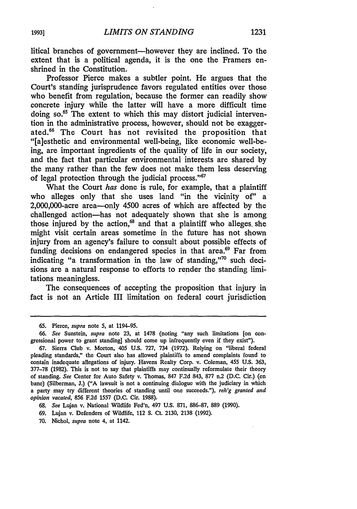litical branches of government-however they are inclined. To the extent that is a political agenda, it is the one the Framers enshrined in the Constitution.

Professor Pierce makes a subtler point. He argues that the Court's standing jurisprudence favors regulated entities over those who benefit from regulation; because the former can readily show concrete injury while the latter will have a more difficult time doing so.<sup>65</sup> The extent to which this may distort judicial intervention in the administrative process, however, should not be exaggerated.<sup>66</sup> The Court has not revisited the proposition that "[a]esthetic and environmental well-being, like economic well-being, are important ingredients of the quality of life in our society, and the fact that particular environmental interests are shared by the many rather than the few does not make them less deserving of legal protection through the judicial process."<sup>67</sup>

What the Court *has* done is rule, for example, that a plaintiff who alleges only that she uses land "in the vicinity of" a 2,000,000-acre area--only 4500 acres of which are affected by the challenged action-has not adequately shown that she is among those injured by the action, $68$  and that a plaintiff who alleges she might visit certain areas sometime in the future has not shown injury from an agency's failure to consult about possible effects of funding decisions on endangered species in that area.<sup>69</sup> Far from indicating "a transformation in the law of standing,"<sup>70</sup> such decisions are a natural response to efforts to render the standing limitations meaningless.

The consequences of accepting the proposition that injury in fact is not an Article III limitation on federal court jurisdiction

- 69. Lujan v. Defenders of Wildlife, 112 **S.** Ct. 2130, 2138 (1992).
- 70. Nichol, *supra* note 4, at 1142.

<sup>65.</sup> Pierce, *supra* note 5, at 1194-95.

*<sup>66.</sup> See* Sunstein, *supra* note 23, at 1478 (noting "any such limitations [on congressional power to grant standing] should come up infrequently even if they exist").

<sup>67.</sup> Sierra Club v. Morton, 405 U.S. 727, 734 (1972). Relying on "liberal federal pleading standards," the Court also has allowed plaintiffs to amend complaints found to contain inadequate allegations of injury. Havens Realty Corp. v. Coleman, 455 U.S. 363, 377-78 (1982). This is not to say that plaintiffs may continually reformulate their theory of standing. *See* Center for Auto Safety v. Thomas, 847 F.2d 843, 877 n.2 (D.C. Cir.) (en banc) (Silberman, **J.)** ("A lawsuit is not a continuing dialogue with the judiciary in which a party may try different theories of standing until one succeeds."), *reh'g granted and opinion vacated,* 856 F.2d 1557 (D.C. Cir. 1988).

<sup>68.</sup> *See* Lujan v. National Wildlife Fed'n, 497 U.S. 871, 886-87, 889 (1990).